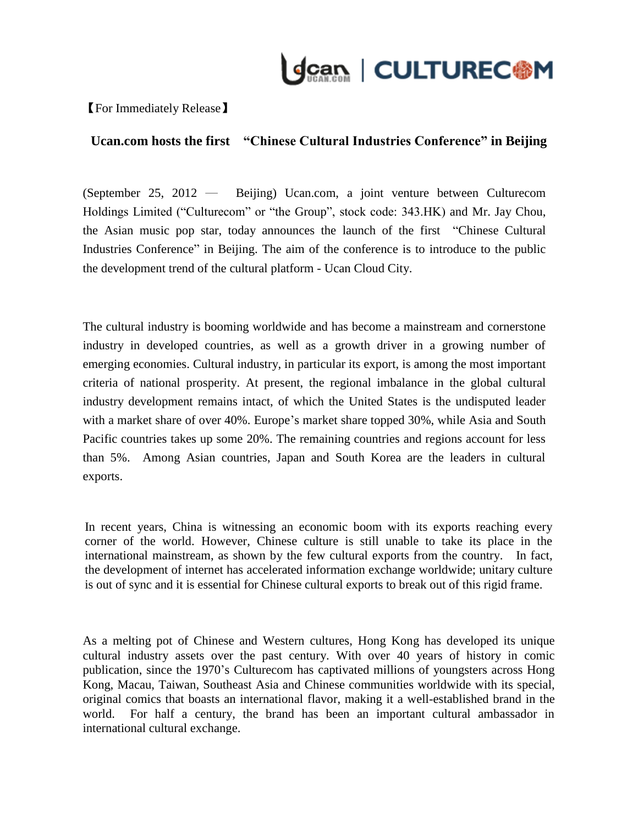

【For Immediately Release】

## **Ucan.com hosts the first "Chinese Cultural Industries Conference" in Beijing**

(September 25, 2012 ─ Beijing) Ucan.com, a joint venture between Culturecom Holdings Limited ("Culturecom" or "the Group", stock code: 343.HK) and Mr. Jay Chou, the Asian music pop star, today announces the launch of the first "Chinese Cultural Industries Conference" in Beijing. The aim of the conference is to introduce to the public the development trend of the cultural platform - Ucan Cloud City.

The cultural industry is booming worldwide and has become a mainstream and cornerstone industry in developed countries, as well as a growth driver in a growing number of emerging economies. Cultural industry, in particular its export, is among the most important criteria of national prosperity. At present, the regional imbalance in the global cultural industry development remains intact, of which the United States is the undisputed leader with a market share of over 40%. Europe's market share topped 30%, while Asia and South Pacific countries takes up some 20%. The remaining countries and regions account for less than 5%. Among Asian countries, Japan and South Korea are the leaders in cultural exports.

In recent years, China is witnessing an economic boom with its exports reaching every corner of the world. However, Chinese culture is still unable to take its place in the international mainstream, as shown by the few cultural exports from the country. In fact, the development of internet has accelerated information exchange worldwide; unitary culture is out of sync and it is essential for Chinese cultural exports to break out of this rigid frame.

As a melting pot of Chinese and Western cultures, Hong Kong has developed its unique cultural industry assets over the past century. With over 40 years of history in comic publication, since the 1970's Culturecom has captivated millions of youngsters across Hong Kong, Macau, Taiwan, Southeast Asia and Chinese communities worldwide with its special, original comics that boasts an international flavor, making it a well-established brand in the world. For half a century, the brand has been an important cultural ambassador in international cultural exchange.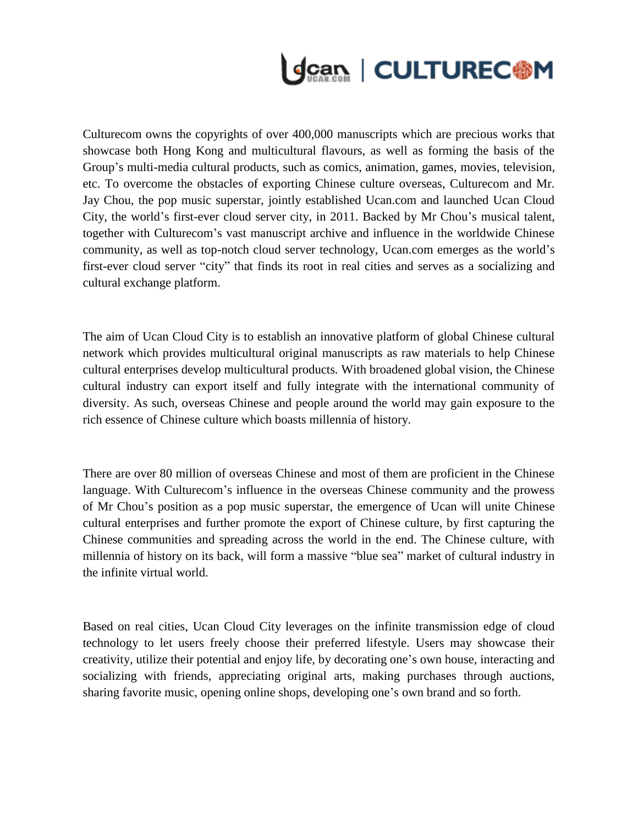

Culturecom owns the copyrights of over 400,000 manuscripts which are precious works that showcase both Hong Kong and multicultural flavours, as well as forming the basis of the Group's multi-media cultural products, such as comics, animation, games, movies, television, etc. To overcome the obstacles of exporting Chinese culture overseas, Culturecom and Mr. Jay Chou, the pop music superstar, jointly established Ucan.com and launched Ucan Cloud City, the world's first-ever cloud server city, in 2011. Backed by Mr Chou's musical talent, together with Culturecom's vast manuscript archive and influence in the worldwide Chinese community, as well as top-notch cloud server technology, Ucan.com emerges as the world's first-ever cloud server "city" that finds its root in real cities and serves as a socializing and cultural exchange platform.

The aim of Ucan Cloud City is to establish an innovative platform of global Chinese cultural network which provides multicultural original manuscripts as raw materials to help Chinese cultural enterprises develop multicultural products. With broadened global vision, the Chinese cultural industry can export itself and fully integrate with the international community of diversity. As such, overseas Chinese and people around the world may gain exposure to the rich essence of Chinese culture which boasts millennia of history.

There are over 80 million of overseas Chinese and most of them are proficient in the Chinese language. With Culturecom's influence in the overseas Chinese community and the prowess of Mr Chou's position as a pop music superstar, the emergence of Ucan will unite Chinese cultural enterprises and further promote the export of Chinese culture, by first capturing the Chinese communities and spreading across the world in the end. The Chinese culture, with millennia of history on its back, will form a massive "blue sea" market of cultural industry in the infinite virtual world.

Based on real cities, Ucan Cloud City leverages on the infinite transmission edge of cloud technology to let users freely choose their preferred lifestyle. Users may showcase their creativity, utilize their potential and enjoy life, by decorating one's own house, interacting and socializing with friends, appreciating original arts, making purchases through auctions, sharing favorite music, opening online shops, developing one's own brand and so forth.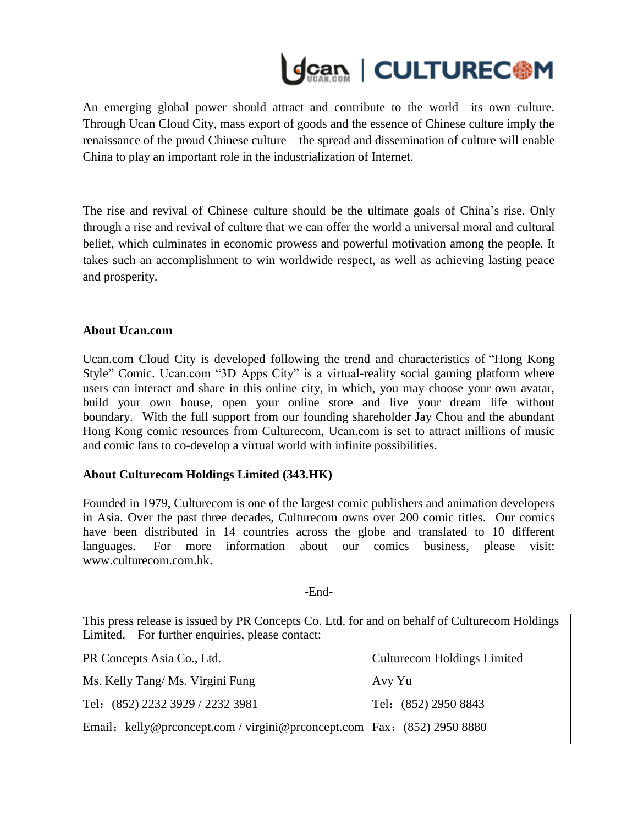

An emerging global power should attract and contribute to the world its own culture. Through Ucan Cloud City, mass export of goods and the essence of Chinese culture imply the renaissance of the proud Chinese culture – the spread and dissemination of culture will enable China to play an important role in the industrialization of Internet.

The rise and revival of Chinese culture should be the ultimate goals of China's rise. Only through a rise and revival of culture that we can offer the world a universal moral and cultural belief, which culminates in economic prowess and powerful motivation among the people. It takes such an accomplishment to win worldwide respect, as well as achieving lasting peace and prosperity.

## **About Ucan.com**

Ucan.com Cloud City is developed following the trend and characteristics of "Hong Kong Style" Comic. Ucan.com "3D Apps City" is a virtual-reality social gaming platform where users can interact and share in this online city, in which, you may choose your own avatar, build your own house, open your online store and live your dream life without boundary. With the full support from our founding shareholder Jay Chou and the abundant Hong Kong comic resources from Culturecom, Ucan.com is set to attract millions of music and comic fans to co-develop a virtual world with infinite possibilities.

## **About Culturecom Holdings Limited (343.HK)**

Founded in 1979, Culturecom is one of the largest comic publishers and animation developers in Asia. Over the past three decades, Culturecom owns over 200 comic titles. Our comics have been distributed in 14 countries across the globe and translated to 10 different languages. For more information about our comics business, please visit: [www.culturecom.com.hk.](http://www.culturecom.com.hk/)

## -End-

This press release is issued by PR Concepts Co. Ltd. for and on behalf of Culturecom Holdings Limited. For further enquiries, please contact:

| <b>PR Concepts Asia Co., Ltd.</b>                                         | Culturecom Holdings Limited |
|---------------------------------------------------------------------------|-----------------------------|
| Ms. Kelly Tang/Ms. Virgini Fung                                           | Avy Yu                      |
| Tel: (852) 2232 3929 / 2232 3981                                          | Tel: (852) 2950 8843        |
| Email: kelly@prconcept.com / virgini@prconcept.com   Fax: (852) 2950 8880 |                             |